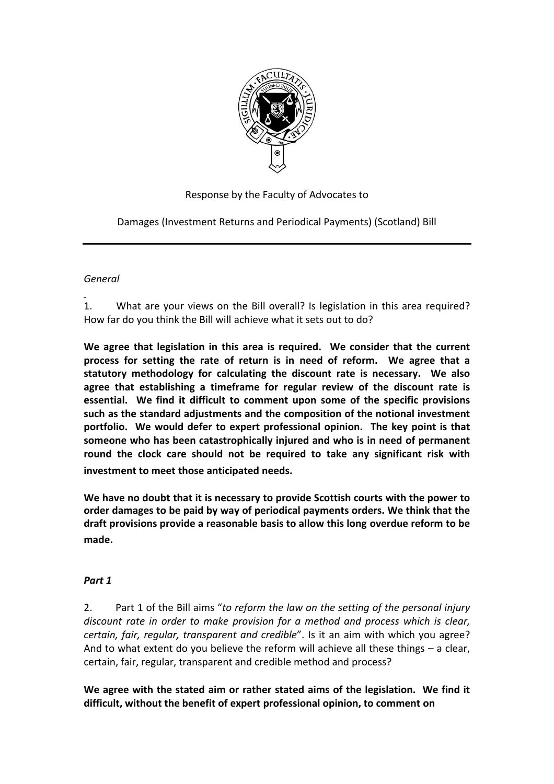

Response by the Faculty of Advocates to

Damages (Investment Returns and Periodical Payments) (Scotland) Bill

# *General*

1. What are your views on the Bill overall? Is legislation in this area required? How far do you think the Bill will achieve what it sets out to do?

**We agree that legislation in this area is required. We consider that the current process for setting the rate of return is in need of reform. We agree that a statutory methodology for calculating the discount rate is necessary. We also agree that establishing a timeframe for regular review of the discount rate is essential. We find it difficult to comment upon some of the specific provisions such as the standard adjustments and the composition of the notional investment portfolio. We would defer to expert professional opinion. The key point is that someone who has been catastrophically injured and who is in need of permanent round the clock care should not be required to take any significant risk with investment to meet those anticipated needs.**

**We have no doubt that it is necessary to provide Scottish courts with the power to order damages to be paid by way of periodical payments orders. We think that the draft provisions provide a reasonable basis to allow this long overdue reform to be made.**

# *Part 1*

2. Part 1 of the Bill aims "*to reform the law on the setting of the personal injury discount rate in order to make provision for a method and process which is clear, certain, fair, regular, transparent and credible*". Is it an aim with which you agree? And to what extent do you believe the reform will achieve all these things – a clear, certain, fair, regular, transparent and credible method and process?

**We agree with the stated aim or rather stated aims of the legislation. We find it difficult, without the benefit of expert professional opinion, to comment on**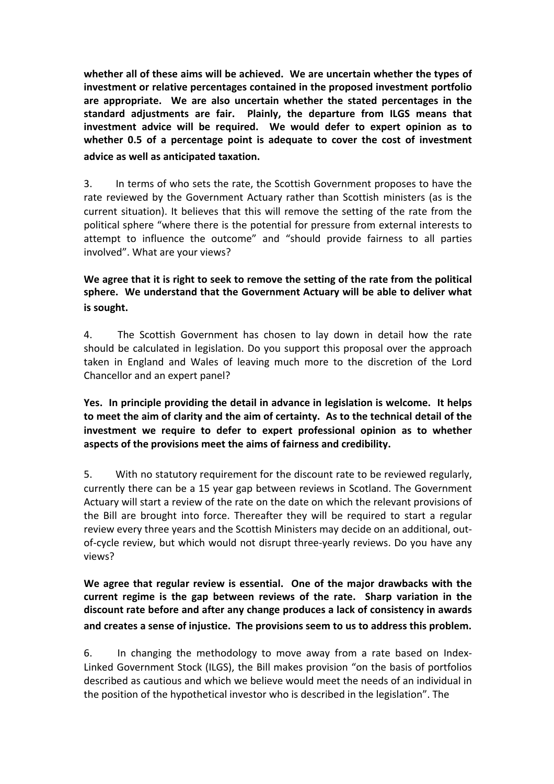**whether all of these aims will be achieved. We are uncertain whether the types of investment or relative percentages contained in the proposed investment portfolio are appropriate. We are also uncertain whether the stated percentages in the standard adjustments are fair. Plainly, the departure from ILGS means that investment advice will be required. We would defer to expert opinion as to whether 0.5 of a percentage point is adequate to cover the cost of investment advice as well as anticipated taxation.**

3. In terms of who sets the rate, the Scottish Government proposes to have the rate reviewed by the Government Actuary rather than Scottish ministers (as is the current situation). It believes that this will remove the setting of the rate from the political sphere "where there is the potential for pressure from external interests to attempt to influence the outcome" and "should provide fairness to all parties involved". What are your views?

# **We agree that it is right to seek to remove the setting of the rate from the political sphere. We understand that the Government Actuary will be able to deliver what is sought.**

4. The Scottish Government has chosen to lay down in detail how the rate should be calculated in legislation. Do you support this proposal over the approach taken in England and Wales of leaving much more to the discretion of the Lord Chancellor and an expert panel?

**Yes. In principle providing the detail in advance in legislation is welcome. It helps to meet the aim of clarity and the aim of certainty. As to the technical detail of the investment we require to defer to expert professional opinion as to whether aspects of the provisions meet the aims of fairness and credibility.** 

5. With no statutory requirement for the discount rate to be reviewed regularly, currently there can be a 15 year gap between reviews in Scotland. The Government Actuary will start a review of the rate on the date on which the relevant provisions of the Bill are brought into force. Thereafter they will be required to start a regular review every three years and the Scottish Ministers may decide on an additional, outof-cycle review, but which would not disrupt three-yearly reviews. Do you have any views?

**We agree that regular review is essential. One of the major drawbacks with the current regime is the gap between reviews of the rate. Sharp variation in the discount rate before and after any change produces a lack of consistency in awards and creates a sense of injustice. The provisions seem to us to address this problem.**

6. In changing the methodology to move away from a rate based on Index-Linked Government Stock (ILGS), the Bill makes provision "on the basis of portfolios described as cautious and which we believe would meet the needs of an individual in the position of the hypothetical investor who is described in the legislation". The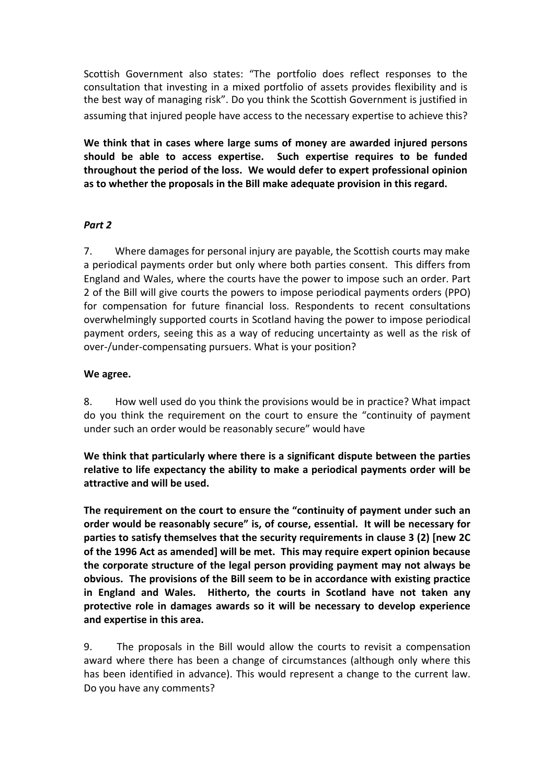Scottish Government also states: "The portfolio does reflect responses to the consultation that investing in a mixed portfolio of assets provides flexibility and is the best way of managing risk". Do you think the Scottish Government is justified in assuming that injured people have access to the necessary expertise to achieve this?

**We think that in cases where large sums of money are awarded injured persons should be able to access expertise. Such expertise requires to be funded throughout the period of the loss. We would defer to expert professional opinion as to whether the proposals in the Bill make adequate provision in this regard.**

## *Part 2*

7. Where damages for personal injury are payable, the Scottish courts may make a periodical payments order but only where both parties consent. This differs from England and Wales, where the courts have the power to impose such an order. Part 2 of the Bill will give courts the powers to impose periodical payments orders (PPO) for compensation for future financial loss. Respondents to recent consultations overwhelmingly supported courts in Scotland having the power to impose periodical payment orders, seeing this as a way of reducing uncertainty as well as the risk of over-/under-compensating pursuers. What is your position?

#### **We agree.**

8. How well used do you think the provisions would be in practice? What impact do you think the requirement on the court to ensure the "continuity of payment under such an order would be reasonably secure" would have

**We think that particularly where there is a significant dispute between the parties relative to life expectancy the ability to make a periodical payments order will be attractive and will be used.**

**The requirement on the court to ensure the "continuity of payment under such an order would be reasonably secure" is, of course, essential. It will be necessary for parties to satisfy themselves that the security requirements in clause 3 (2) [new 2C of the 1996 Act as amended] will be met. This may require expert opinion because the corporate structure of the legal person providing payment may not always be obvious. The provisions of the Bill seem to be in accordance with existing practice in England and Wales. Hitherto, the courts in Scotland have not taken any protective role in damages awards so it will be necessary to develop experience and expertise in this area.**

9. The proposals in the Bill would allow the courts to revisit a compensation award where there has been a change of circumstances (although only where this has been identified in advance). This would represent a change to the current law. Do you have any comments?